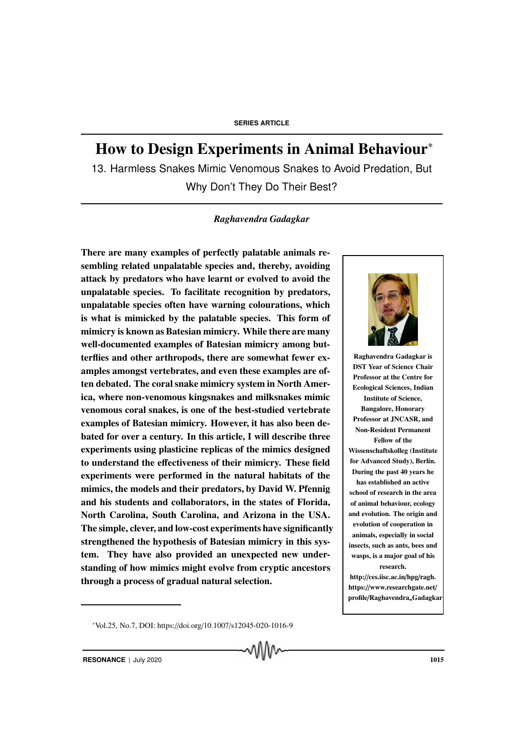# How to Design Experiments in Animal Behaviour<sup>∗</sup>

13. Harmless Snakes Mimic Venomous Snakes to Avoid Predation, But Why Don't They Do Their Best?

#### *Raghavendra Gadagkar*

There are many examples of perfectly palatable animals resembling related unpalatable species and, thereby, avoiding attack by predators who have learnt or evolved to avoid the unpalatable species. To facilitate recognition by predators, unpalatable species often have warning colourations, which is what is mimicked by the palatable species. This form of mimicry is known as Batesian mimicry. While there are many well-documented examples of Batesian mimicry among butterflies and other arthropods, there are somewhat fewer examples amongst vertebrates, and even these examples are often debated. The coral snake mimicry system in North America, where non-venomous kingsnakes and milksnakes mimic venomous coral snakes, is one of the best-studied vertebrate examples of Batesian mimicry. However, it has also been debated for over a century. In this article, I will describe three experiments using plasticine replicas of the mimics designed to understand the effectiveness of their mimicry. These field experiments were performed in the natural habitats of the mimics, the models and their predators, by David W. Pfennig and his students and collaborators, in the states of Florida, North Carolina, South Carolina, and Arizona in the USA. The simple, clever, and low-cost experiments have significantly strengthened the hypothesis of Batesian mimicry in this system. They have also provided an unexpected new understanding of how mimics might evolve from cryptic ancestors through a process of gradual natural selection.



Raghavendra Gadagkar is DST Year of Science Chair Professor at the Centre for Ecological Sciences, Indian Institute of Science, Bangalore, Honorary Professor at JNCASR, and Non-Resident Permanent Fellow of the Wissenschaftskolleg (Institute for Advanced Study), Berlin. During the past 40 years he has established an active school of research in the area of animal behaviour, ecology and evolution. The origin and evolution of cooperation in animals, especially in social insects, such as ants, bees and wasps, is a major goal of his research.

http://ces.iisc.ac.in/hpg/ragh. https://www.researchgate.net/ profile/Raghavendra Gadagkar

<sup>∗</sup>Vol.25, No.7, DOI: https://doi.org/10.1007/s12045-020-1016-9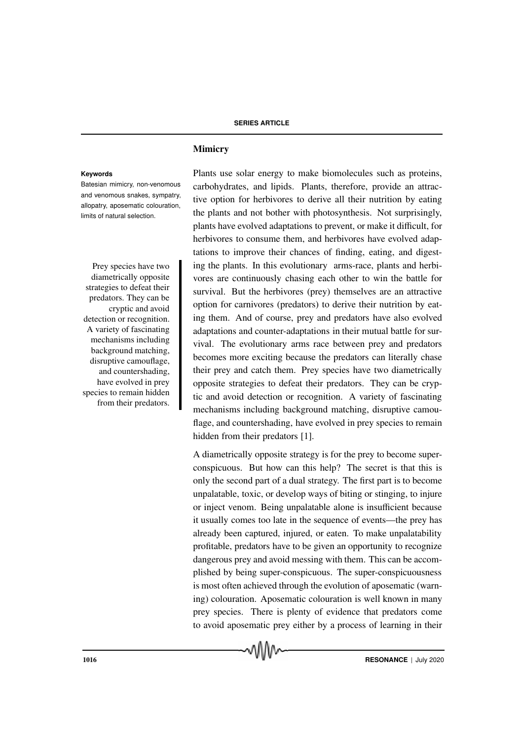Batesian mimicry, non-venomous and venomous snakes, sympatry, allopatry, aposematic colouration, limits of natural selection.

diametrically opposite strategies to defeat their predators. They can be cryptic and avoid detection or recognition. A variety of fascinating mechanisms including background matching, disruptive camouflage, and countershading, have evolved in prey species to remain hidden from their predators.

## Mimicry

**Keywords** Plants use solar energy to make biomolecules such as proteins, carbohydrates, and lipids. Plants, therefore, provide an attractive option for herbivores to derive all their nutrition by eating the plants and not bother with photosynthesis. Not surprisingly, plants have evolved adaptations to prevent, or make it difficult, for herbivores to consume them, and herbivores have evolved adaptations to improve their chances of finding, eating, and digest-Prey species have two ing the plants. In this evolutionary arms-race, plants and herbivores are continuously chasing each other to win the battle for survival. But the herbivores (prey) themselves are an attractive option for carnivores (predators) to derive their nutrition by eating them. And of course, prey and predators have also evolved adaptations and counter-adaptations in their mutual battle for survival. The evolutionary arms race between prey and predators becomes more exciting because the predators can literally chase their prey and catch them. Prey species have two diametrically opposite strategies to defeat their predators. They can be cryptic and avoid detection or recognition. A variety of fascinating mechanisms including background matching, disruptive camouflage, and countershading, have evolved in prey species to remain hidden from their predators [1].

> A diametrically opposite strategy is for the prey to become superconspicuous. But how can this help? The secret is that this is only the second part of a dual strategy. The first part is to become unpalatable, toxic, or develop ways of biting or stinging, to injure or inject venom. Being unpalatable alone is insufficient because it usually comes too late in the sequence of events—the prey has already been captured, injured, or eaten. To make unpalatability profitable, predators have to be given an opportunity to recognize dangerous prey and avoid messing with them. This can be accomplished by being super-conspicuous. The super-conspicuousness is most often achieved through the evolution of aposematic (warning) colouration. Aposematic colouration is well known in many prey species. There is plenty of evidence that predators come to avoid aposematic prey either by a process of learning in their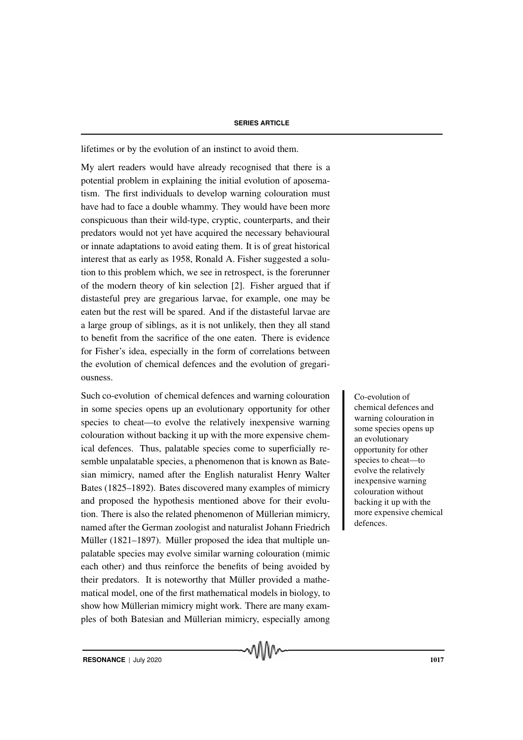lifetimes or by the evolution of an instinct to avoid them.

My alert readers would have already recognised that there is a potential problem in explaining the initial evolution of aposematism. The first individuals to develop warning colouration must have had to face a double whammy. They would have been more conspicuous than their wild-type, cryptic, counterparts, and their predators would not yet have acquired the necessary behavioural or innate adaptations to avoid eating them. It is of great historical interest that as early as 1958, Ronald A. Fisher suggested a solution to this problem which, we see in retrospect, is the forerunner of the modern theory of kin selection [2]. Fisher argued that if distasteful prey are gregarious larvae, for example, one may be eaten but the rest will be spared. And if the distasteful larvae are a large group of siblings, as it is not unlikely, then they all stand to benefit from the sacrifice of the one eaten. There is evidence for Fisher's idea, especially in the form of correlations between the evolution of chemical defences and the evolution of gregariousness.

Such co-evolution of chemical defences and warning colouration Co-evolution of in some species opens up an evolutionary opportunity for other species to cheat—to evolve the relatively inexpensive warning colouration without backing it up with the more expensive chemical defences. Thus, palatable species come to superficially resemble unpalatable species, a phenomenon that is known as Batesian mimicry, named after the English naturalist Henry Walter Bates (1825–1892). Bates discovered many examples of mimicry and proposed the hypothesis mentioned above for their evolution. There is also the related phenomenon of Müllerian mimicry, named after the German zoologist and naturalist Johann Friedrich Müller (1821–1897). Müller proposed the idea that multiple unpalatable species may evolve similar warning colouration (mimic each other) and thus reinforce the benefits of being avoided by their predators. It is noteworthy that Müller provided a mathematical model, one of the first mathematical models in biology, to show how Müllerian mimicry might work. There are many examples of both Batesian and Müllerian mimicry, especially among

chemical defences and warning colouration in some species opens up an evolutionary opportunity for other species to cheat—to evolve the relatively inexpensive warning colouration without backing it up with the more expensive chemical defences.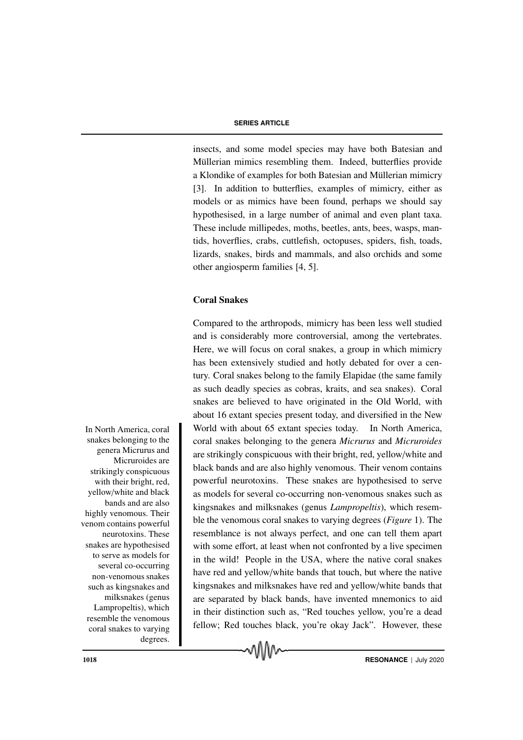insects, and some model species may have both Batesian and Müllerian mimics resembling them. Indeed, butterflies provide a Klondike of examples for both Batesian and Müllerian mimicry [3]. In addition to butterflies, examples of mimicry, either as models or as mimics have been found, perhaps we should say hypothesised, in a large number of animal and even plant taxa. These include millipedes, moths, beetles, ants, bees, wasps, mantids, hoverflies, crabs, cuttlefish, octopuses, spiders, fish, toads, lizards, snakes, birds and mammals, and also orchids and some other angiosperm families [4, 5].

## Coral Snakes

Compared to the arthropods, mimicry has been less well studied and is considerably more controversial, among the vertebrates. Here, we will focus on coral snakes, a group in which mimicry has been extensively studied and hotly debated for over a century. Coral snakes belong to the family Elapidae (the same family as such deadly species as cobras, kraits, and sea snakes). Coral snakes are believed to have originated in the Old World, with about 16 extant species present today, and diversified in the New In North America, coral World with about 65 extant species today. In North America, coral snakes belonging to the genera *Micrurus* and *Micruroides* are strikingly conspicuous with their bright, red, yellow/white and black bands and are also highly venomous. Their venom contains powerful neurotoxins. These snakes are hypothesised to serve as models for several co-occurring non-venomous snakes such as kingsnakes and milksnakes (genus *Lampropeltis*), which resemble the venomous coral snakes to varying degrees (*Figure* 1). The resemblance is not always perfect, and one can tell them apart with some effort, at least when not confronted by a live specimen in the wild! People in the USA, where the native coral snakes have red and yellow/white bands that touch, but where the native kingsnakes and milksnakes have red and yellow/white bands that are separated by black bands, have invented mnemonics to aid in their distinction such as, "Red touches yellow, you're a dead fellow; Red touches black, you're okay Jack". However, these

vww

snakes belonging to the genera Micrurus and Micruroides are strikingly conspicuous with their bright, red, yellow/white and black bands and are also highly venomous. Their venom contains powerful neurotoxins. These snakes are hypothesised to serve as models for several co-occurring non-venomous snakes such as kingsnakes and milksnakes (genus Lampropeltis), which resemble the venomous coral snakes to varying degrees.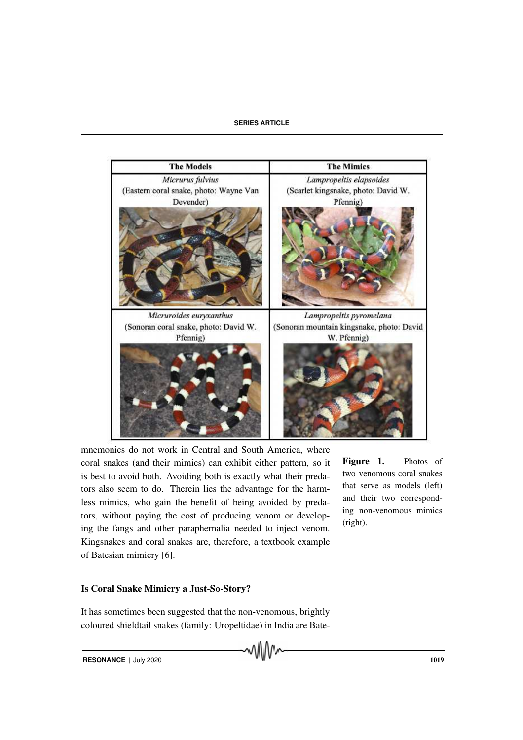

mnemonics do not work in Central and South America, where coral snakes (and their mimics) can exhibit either pattern, so it is best to avoid both. Avoiding both is exactly what their predators also seem to do. Therein lies the advantage for the harmless mimics, who gain the benefit of being avoided by predators, without paying the cost of producing venom or developing the fangs and other paraphernalia needed to inject venom. Kingsnakes and coral snakes are, therefore, a textbook example of Batesian mimicry [6].

Figure 1. Photos of two venomous coral snakes that serve as models (left) and their two corresponding non-venomous mimics (right).

## Is Coral Snake Mimicry a Just-So-Story?

It has sometimes been suggested that the non-venomous, brightly coloured shieldtail snakes (family: Uropeltidae) in India are Bate-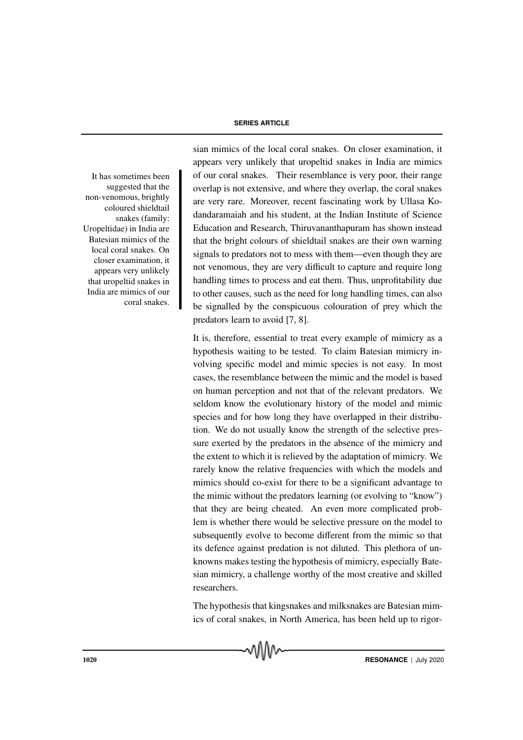It has sometimes been suggested that the non-venomous, brightly coloured shieldtail snakes (family: Uropeltidae) in India are Batesian mimics of the local coral snakes. On closer examination, it appears very unlikely that uropeltid snakes in India are mimics of our coral snakes.

sian mimics of the local coral snakes. On closer examination, it appears very unlikely that uropeltid snakes in India are mimics of our coral snakes. Their resemblance is very poor, their range overlap is not extensive, and where they overlap, the coral snakes are very rare. Moreover, recent fascinating work by Ullasa Kodandaramaiah and his student, at the Indian Institute of Science Education and Research, Thiruvananthapuram has shown instead that the bright colours of shieldtail snakes are their own warning signals to predators not to mess with them—even though they are not venomous, they are very difficult to capture and require long handling times to process and eat them. Thus, unprofitability due to other causes, such as the need for long handling times, can also be signalled by the conspicuous colouration of prey which the predators learn to avoid [7, 8].

It is, therefore, essential to treat every example of mimicry as a hypothesis waiting to be tested. To claim Batesian mimicry involving specific model and mimic species is not easy. In most cases, the resemblance between the mimic and the model is based on human perception and not that of the relevant predators. We seldom know the evolutionary history of the model and mimic species and for how long they have overlapped in their distribution. We do not usually know the strength of the selective pressure exerted by the predators in the absence of the mimicry and the extent to which it is relieved by the adaptation of mimicry. We rarely know the relative frequencies with which the models and mimics should co-exist for there to be a significant advantage to the mimic without the predators learning (or evolving to "know") that they are being cheated. An even more complicated problem is whether there would be selective pressure on the model to subsequently evolve to become different from the mimic so that its defence against predation is not diluted. This plethora of unknowns makes testing the hypothesis of mimicry, especially Batesian mimicry, a challenge worthy of the most creative and skilled researchers.

The hypothesis that kingsnakes and milksnakes are Batesian mimics of coral snakes, in North America, has been held up to rigor-

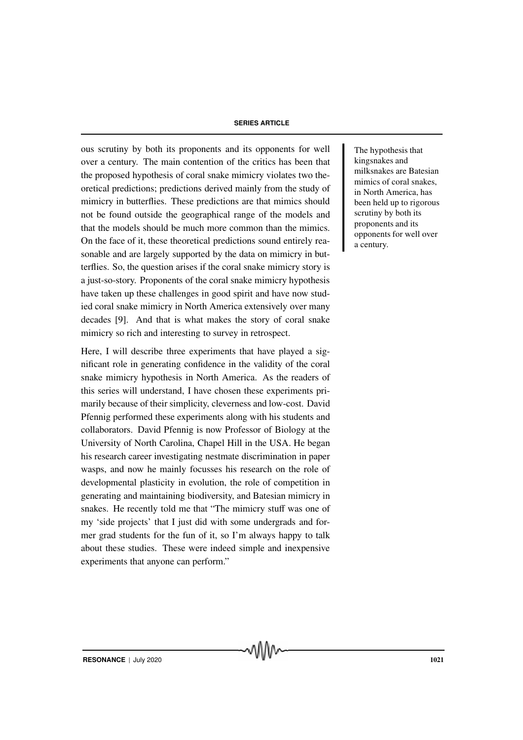ous scrutiny by both its proponents and its opponents for well The hypothesis that over a century. The main contention of the critics has been that the proposed hypothesis of coral snake mimicry violates two theoretical predictions; predictions derived mainly from the study of mimicry in butterflies. These predictions are that mimics should not be found outside the geographical range of the models and that the models should be much more common than the mimics. On the face of it, these theoretical predictions sound entirely reasonable and are largely supported by the data on mimicry in butterflies. So, the question arises if the coral snake mimicry story is a just-so-story. Proponents of the coral snake mimicry hypothesis have taken up these challenges in good spirit and have now studied coral snake mimicry in North America extensively over many decades [9]. And that is what makes the story of coral snake mimicry so rich and interesting to survey in retrospect.

Here, I will describe three experiments that have played a significant role in generating confidence in the validity of the coral snake mimicry hypothesis in North America. As the readers of this series will understand, I have chosen these experiments primarily because of their simplicity, cleverness and low-cost. David Pfennig performed these experiments along with his students and collaborators. David Pfennig is now Professor of Biology at the University of North Carolina, Chapel Hill in the USA. He began his research career investigating nestmate discrimination in paper wasps, and now he mainly focusses his research on the role of developmental plasticity in evolution, the role of competition in generating and maintaining biodiversity, and Batesian mimicry in snakes. He recently told me that "The mimicry stuff was one of my 'side projects' that I just did with some undergrads and former grad students for the fun of it, so I'm always happy to talk about these studies. These were indeed simple and inexpensive experiments that anyone can perform."

kingsnakes and milksnakes are Batesian mimics of coral snakes, in North America, has been held up to rigorous scrutiny by both its proponents and its opponents for well over a century.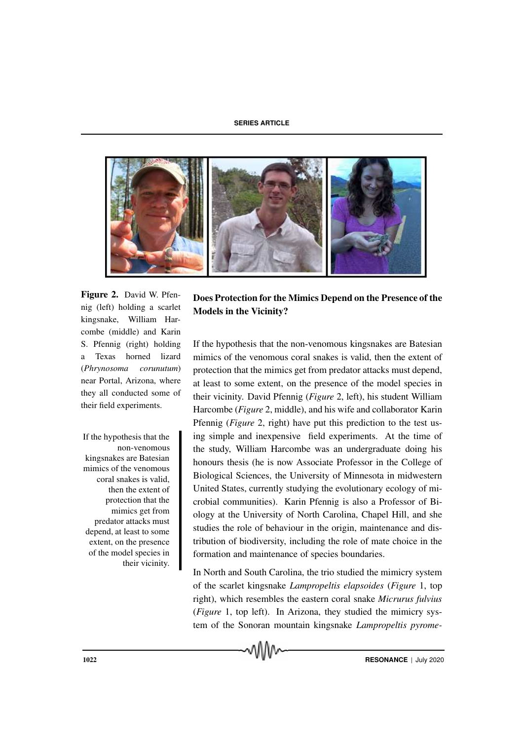

Figure 2. David W. Pfennig (left) holding a scarlet kingsnake, William Harcombe (middle) and Karin S. Pfennig (right) holding a Texas horned lizard (*Phrynosoma corunutum*) near Portal, Arizona, where they all conducted some of their field experiments.

non-venomous kingsnakes are Batesian mimics of the venomous coral snakes is valid, then the extent of protection that the mimics get from predator attacks must depend, at least to some extent, on the presence of the model species in their vicinity.

## Does Protection for the Mimics Depend on the Presence of the Models in the Vicinity?

If the hypothesis that the non-venomous kingsnakes are Batesian mimics of the venomous coral snakes is valid, then the extent of protection that the mimics get from predator attacks must depend, at least to some extent, on the presence of the model species in their vicinity. David Pfennig (*Figure* 2, left), his student William Harcombe (*Figure* 2, middle), and his wife and collaborator Karin Pfennig (*Figure* 2, right) have put this prediction to the test us-If the hypothesis that the ing simple and inexpensive field experiments. At the time of the study, William Harcombe was an undergraduate doing his honours thesis (he is now Associate Professor in the College of Biological Sciences, the University of Minnesota in midwestern United States, currently studying the evolutionary ecology of microbial communities). Karin Pfennig is also a Professor of Biology at the University of North Carolina, Chapel Hill, and she studies the role of behaviour in the origin, maintenance and distribution of biodiversity, including the role of mate choice in the formation and maintenance of species boundaries.

> In North and South Carolina, the trio studied the mimicry system of the scarlet kingsnake *Lampropeltis elapsoides* (*Figure* 1, top right), which resembles the eastern coral snake *Micrurus fulvius* (*Figure* 1, top left). In Arizona, they studied the mimicry system of the Sonoran mountain kingsnake *Lampropeltis pyrome-*

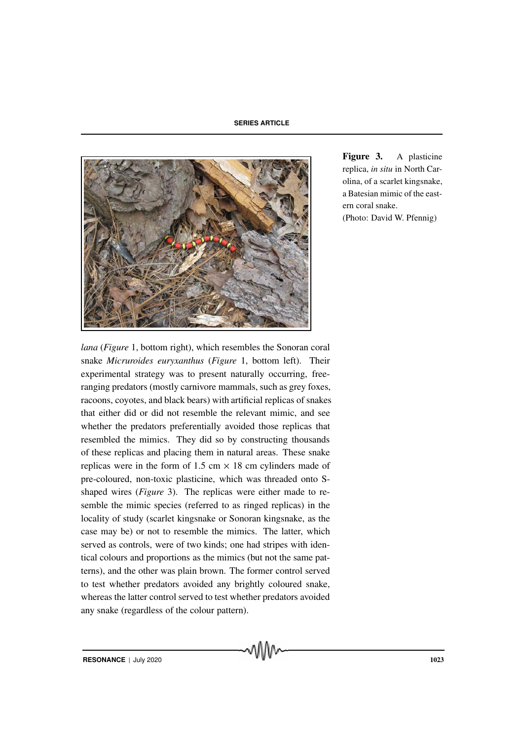

Figure 3. A plasticine replica, *in situ* in North Carolina, of a scarlet kingsnake, a Batesian mimic of the eastern coral snake. (Photo: David W. Pfennig)

*lana* (*Figure* 1, bottom right), which resembles the Sonoran coral snake *Micruroides euryxanthus* (*Figure* 1, bottom left). Their experimental strategy was to present naturally occurring, freeranging predators (mostly carnivore mammals, such as grey foxes, racoons, coyotes, and black bears) with artificial replicas of snakes that either did or did not resemble the relevant mimic, and see whether the predators preferentially avoided those replicas that resembled the mimics. They did so by constructing thousands of these replicas and placing them in natural areas. These snake replicas were in the form of 1.5 cm  $\times$  18 cm cylinders made of pre-coloured, non-toxic plasticine, which was threaded onto Sshaped wires (*Figure* 3). The replicas were either made to resemble the mimic species (referred to as ringed replicas) in the locality of study (scarlet kingsnake or Sonoran kingsnake, as the case may be) or not to resemble the mimics. The latter, which served as controls, were of two kinds; one had stripes with identical colours and proportions as the mimics (but not the same patterns), and the other was plain brown. The former control served to test whether predators avoided any brightly coloured snake, whereas the latter control served to test whether predators avoided any snake (regardless of the colour pattern).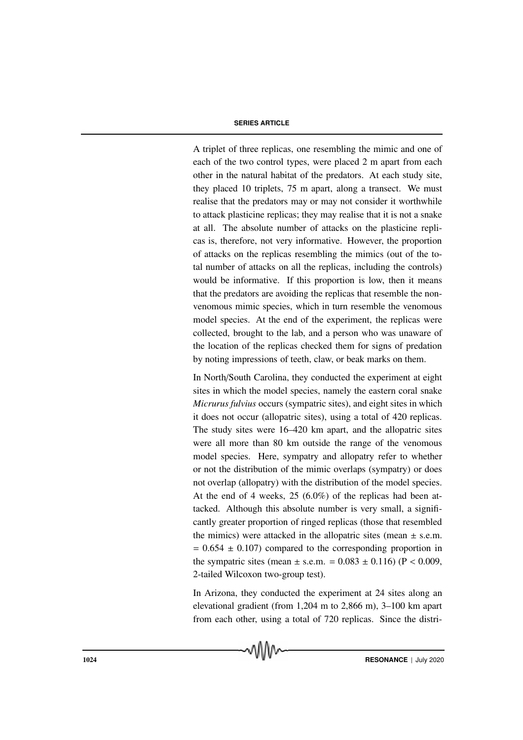A triplet of three replicas, one resembling the mimic and one of each of the two control types, were placed 2 m apart from each other in the natural habitat of the predators. At each study site, they placed 10 triplets, 75 m apart, along a transect. We must realise that the predators may or may not consider it worthwhile to attack plasticine replicas; they may realise that it is not a snake at all. The absolute number of attacks on the plasticine replicas is, therefore, not very informative. However, the proportion of attacks on the replicas resembling the mimics (out of the total number of attacks on all the replicas, including the controls) would be informative. If this proportion is low, then it means that the predators are avoiding the replicas that resemble the nonvenomous mimic species, which in turn resemble the venomous model species. At the end of the experiment, the replicas were collected, brought to the lab, and a person who was unaware of the location of the replicas checked them for signs of predation by noting impressions of teeth, claw, or beak marks on them.

In North/South Carolina, they conducted the experiment at eight sites in which the model species, namely the eastern coral snake *Micrurus fulvius* occurs (sympatric sites), and eight sites in which it does not occur (allopatric sites), using a total of 420 replicas. The study sites were 16–420 km apart, and the allopatric sites were all more than 80 km outside the range of the venomous model species. Here, sympatry and allopatry refer to whether or not the distribution of the mimic overlaps (sympatry) or does not overlap (allopatry) with the distribution of the model species. At the end of 4 weeks, 25 (6.0%) of the replicas had been attacked. Although this absolute number is very small, a significantly greater proportion of ringed replicas (those that resembled the mimics) were attacked in the allopatric sites (mean  $\pm$  s.e.m.  $= 0.654 \pm 0.107$  compared to the corresponding proportion in the sympatric sites (mean  $\pm$  s.e.m. = 0.083  $\pm$  0.116) (P < 0.009, 2-tailed Wilcoxon two-group test).

In Arizona, they conducted the experiment at 24 sites along an elevational gradient (from 1,204 m to 2,866 m), 3–100 km apart from each other, using a total of 720 replicas. Since the distri-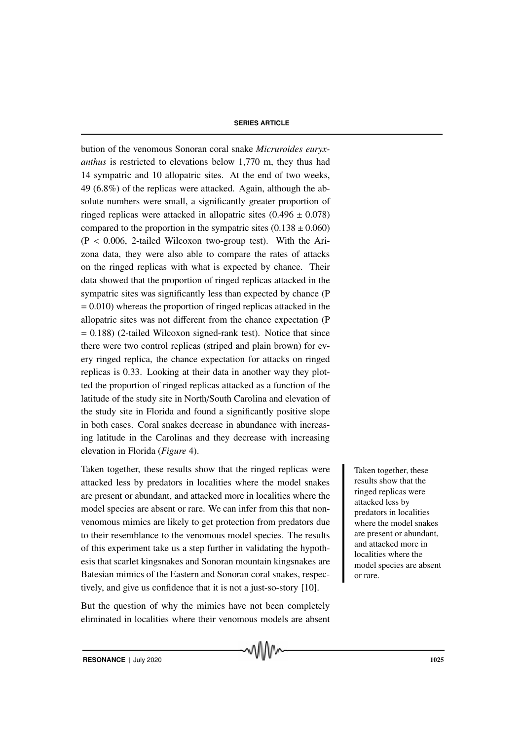bution of the venomous Sonoran coral snake *Micruroides euryxanthus* is restricted to elevations below 1,770 m, they thus had 14 sympatric and 10 allopatric sites. At the end of two weeks, 49 (6.8%) of the replicas were attacked. Again, although the absolute numbers were small, a significantly greater proportion of ringed replicas were attacked in allopatric sites  $(0.496 \pm 0.078)$ compared to the proportion in the sympatric sites  $(0.138 \pm 0.060)$  $(P < 0.006, 2$ -tailed Wilcoxon two-group test). With the Arizona data, they were also able to compare the rates of attacks on the ringed replicas with what is expected by chance. Their data showed that the proportion of ringed replicas attacked in the sympatric sites was significantly less than expected by chance (P  $= 0.010$ ) whereas the proportion of ringed replicas attacked in the allopatric sites was not different from the chance expectation (P  $= 0.188$ ) (2-tailed Wilcoxon signed-rank test). Notice that since there were two control replicas (striped and plain brown) for every ringed replica, the chance expectation for attacks on ringed replicas is 0.33. Looking at their data in another way they plotted the proportion of ringed replicas attacked as a function of the latitude of the study site in North/South Carolina and elevation of the study site in Florida and found a significantly positive slope in both cases. Coral snakes decrease in abundance with increasing latitude in the Carolinas and they decrease with increasing elevation in Florida (*Figure* 4).

Taken together, these results show that the ringed replicas were Taken together, these attacked less by predators in localities where the model snakes are present or abundant, and attacked more in localities where the model species are absent or rare. We can infer from this that nonvenomous mimics are likely to get protection from predators due to their resemblance to the venomous model species. The results of this experiment take us a step further in validating the hypothesis that scarlet kingsnakes and Sonoran mountain kingsnakes are Batesian mimics of the Eastern and Sonoran coral snakes, respectively, and give us confidence that it is not a just-so-story [10].

But the question of why the mimics have not been completely eliminated in localities where their venomous models are absent

MMW

results show that the ringed replicas were attacked less by predators in localities where the model snakes are present or abundant, and attacked more in localities where the model species are absent or rare.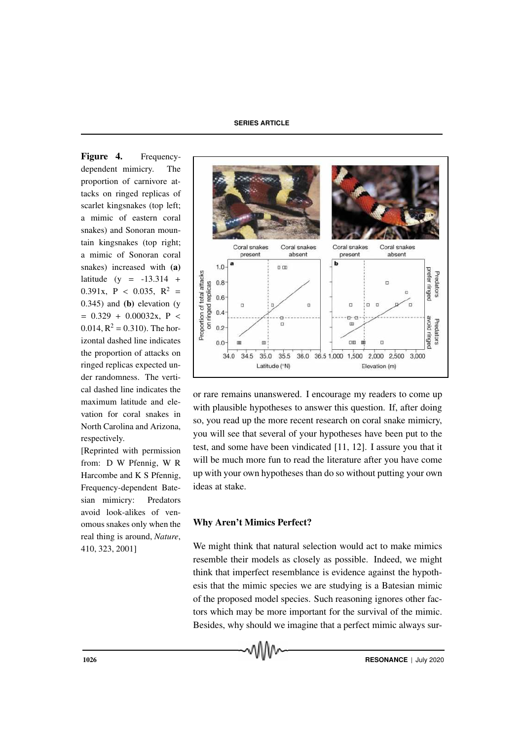Figure 4. Frequencydependent mimicry. The proportion of carnivore attacks on ringed replicas of scarlet kingsnakes (top left; a mimic of eastern coral snakes) and Sonoran mountain kingsnakes (top right; a mimic of Sonoran coral snakes) increased with (a) latitude (y =  $-13.314 +$ 0.391x,  $P < 0.035$ ,  $R^2 =$ 0.345) and (b) elevation (y  $= 0.329 + 0.00032x, P <$  $0.014$ ,  $R^2 = 0.310$ ). The horizontal dashed line indicates the proportion of attacks on ringed replicas expected under randomness. The vertical dashed line indicates the maximum latitude and elevation for coral snakes in North Carolina and Arizona, respectively.

[Reprinted with permission from: D W Pfennig, W R Harcombe and K S Pfennig, Frequency-dependent Batesian mimicry: Predators avoid look-alikes of venomous snakes only when the real thing is around, *Nature*, 410, 323, 2001]



or rare remains unanswered. I encourage my readers to come up with plausible hypotheses to answer this question. If, after doing so, you read up the more recent research on coral snake mimicry, you will see that several of your hypotheses have been put to the test, and some have been vindicated [11, 12]. I assure you that it will be much more fun to read the literature after you have come up with your own hypotheses than do so without putting your own ideas at stake.

#### Why Aren't Mimics Perfect?

We might think that natural selection would act to make mimics resemble their models as closely as possible. Indeed, we might think that imperfect resemblance is evidence against the hypothesis that the mimic species we are studying is a Batesian mimic of the proposed model species. Such reasoning ignores other factors which may be more important for the survival of the mimic. Besides, why should we imagine that a perfect mimic always sur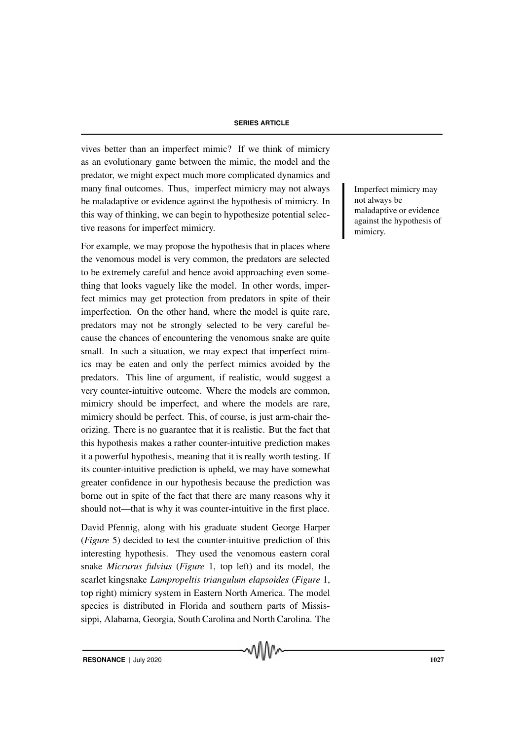vives better than an imperfect mimic? If we think of mimicry as an evolutionary game between the mimic, the model and the predator, we might expect much more complicated dynamics and many final outcomes. Thus, imperfect mimicry may not always Imperfect mimicry may be maladaptive or evidence against the hypothesis of mimicry. In this way of thinking, we can begin to hypothesize potential selective reasons for imperfect mimicry.

For example, we may propose the hypothesis that in places where the venomous model is very common, the predators are selected to be extremely careful and hence avoid approaching even something that looks vaguely like the model. In other words, imperfect mimics may get protection from predators in spite of their imperfection. On the other hand, where the model is quite rare, predators may not be strongly selected to be very careful because the chances of encountering the venomous snake are quite small. In such a situation, we may expect that imperfect mimics may be eaten and only the perfect mimics avoided by the predators. This line of argument, if realistic, would suggest a very counter-intuitive outcome. Where the models are common, mimicry should be imperfect, and where the models are rare, mimicry should be perfect. This, of course, is just arm-chair theorizing. There is no guarantee that it is realistic. But the fact that this hypothesis makes a rather counter-intuitive prediction makes it a powerful hypothesis, meaning that it is really worth testing. If its counter-intuitive prediction is upheld, we may have somewhat greater confidence in our hypothesis because the prediction was borne out in spite of the fact that there are many reasons why it should not—that is why it was counter-intuitive in the first place.

David Pfennig, along with his graduate student George Harper (*Figure* 5) decided to test the counter-intuitive prediction of this interesting hypothesis. They used the venomous eastern coral snake *Micrurus fulvius* (*Figure* 1, top left) and its model, the scarlet kingsnake *Lampropeltis triangulum elapsoides* (*Figure* 1, top right) mimicry system in Eastern North America. The model species is distributed in Florida and southern parts of Mississippi, Alabama, Georgia, South Carolina and North Carolina. The

ง\\\\\^

not always be maladaptive or evidence against the hypothesis of mimicry.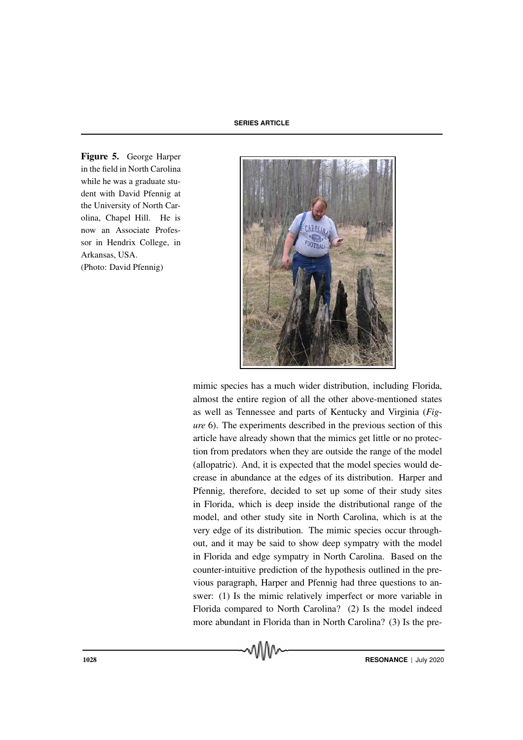Figure 5. George Harper in the field in North Carolina while he was a graduate student with David Pfennig at the University of North Carolina, Chapel Hill. He is now an Associate Professor in Hendrix College, in Arkansas, USA. (Photo: David Pfennig)



mimic species has a much wider distribution, including Florida, almost the entire region of all the other above-mentioned states as well as Tennessee and parts of Kentucky and Virginia (*Figure* 6). The experiments described in the previous section of this article have already shown that the mimics get little or no protection from predators when they are outside the range of the model (allopatric). And, it is expected that the model species would decrease in abundance at the edges of its distribution. Harper and Pfennig, therefore, decided to set up some of their study sites in Florida, which is deep inside the distributional range of the model, and other study site in North Carolina, which is at the very edge of its distribution. The mimic species occur throughout, and it may be said to show deep sympatry with the model in Florida and edge sympatry in North Carolina. Based on the counter-intuitive prediction of the hypothesis outlined in the previous paragraph, Harper and Pfennig had three questions to answer: (1) Is the mimic relatively imperfect or more variable in Florida compared to North Carolina? (2) Is the model indeed more abundant in Florida than in North Carolina? (3) Is the pre-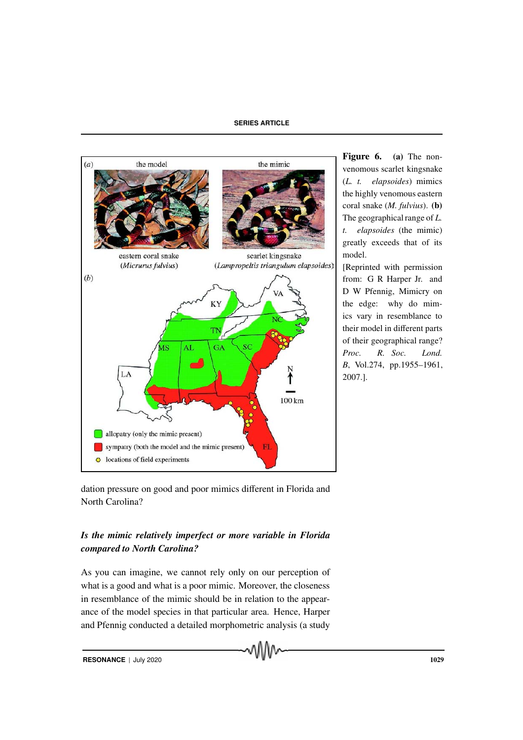

Figure 6. (a) The nonvenomous scarlet kingsnake (*L. t. elapsoides*) mimics the highly venomous eastern coral snake (*M. fulvius*). (b) The geographical range of *L. t. elapsoides* (the mimic) greatly exceeds that of its model.

[Reprinted with permission from: G R Harper Jr. and D W Pfennig, Mimicry on the edge: why do mimics vary in resemblance to their model in different parts of their geographical range? *Proc. R. Soc. Lond. B*, Vol.274, pp.1955–1961, 2007.].

dation pressure on good and poor mimics different in Florida and North Carolina?

## *Is the mimic relatively imperfect or more variable in Florida compared to North Carolina?*

As you can imagine, we cannot rely only on our perception of what is a good and what is a poor mimic. Moreover, the closeness in resemblance of the mimic should be in relation to the appearance of the model species in that particular area. Hence, Harper and Pfennig conducted a detailed morphometric analysis (a study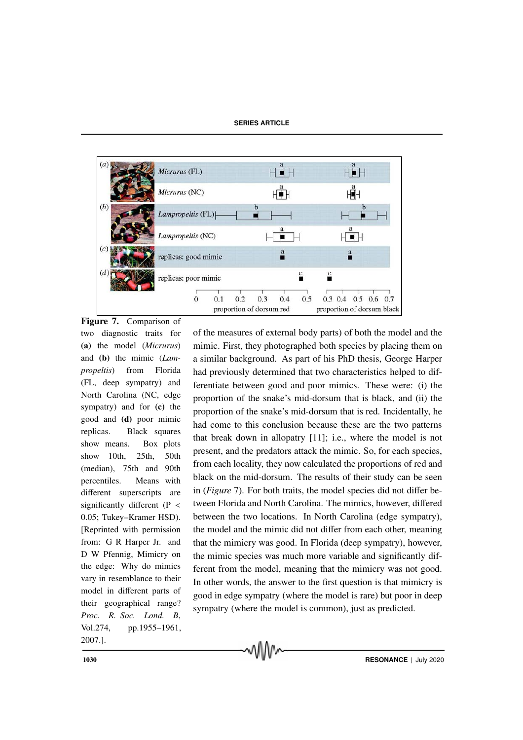

two diagnostic traits for (a) the model (*Micrurus*) and (b) the mimic (*Lampropeltis*) from Florida (FL, deep sympatry) and North Carolina (NC, edge sympatry) and for (c) the good and (d) poor mimic replicas. Black squares show means. Box plots show 10th, 25th, 50th (median), 75th and 90th percentiles. Means with different superscripts are significantly different ( $P \leq$ 0.05; Tukey–Kramer HSD). [Reprinted with permission from: G R Harper Jr. and D W Pfennig, Mimicry on the edge: Why do mimics vary in resemblance to their model in different parts of their geographical range? *Proc. R. Soc. Lond. B*, Vol.274, pp.1955–1961, 2007.].

of the measures of external body parts) of both the model and the mimic. First, they photographed both species by placing them on a similar background. As part of his PhD thesis, George Harper had previously determined that two characteristics helped to differentiate between good and poor mimics. These were: (i) the proportion of the snake's mid-dorsum that is black, and (ii) the proportion of the snake's mid-dorsum that is red. Incidentally, he had come to this conclusion because these are the two patterns that break down in allopatry [11]; i.e., where the model is not present, and the predators attack the mimic. So, for each species, from each locality, they now calculated the proportions of red and black on the mid-dorsum. The results of their study can be seen in (*Figure* 7). For both traits, the model species did not differ between Florida and North Carolina. The mimics, however, differed between the two locations. In North Carolina (edge sympatry), the model and the mimic did not differ from each other, meaning that the mimicry was good. In Florida (deep sympatry), however, the mimic species was much more variable and significantly different from the model, meaning that the mimicry was not good. In other words, the answer to the first question is that mimicry is good in edge sympatry (where the model is rare) but poor in deep sympatry (where the model is common), just as predicted.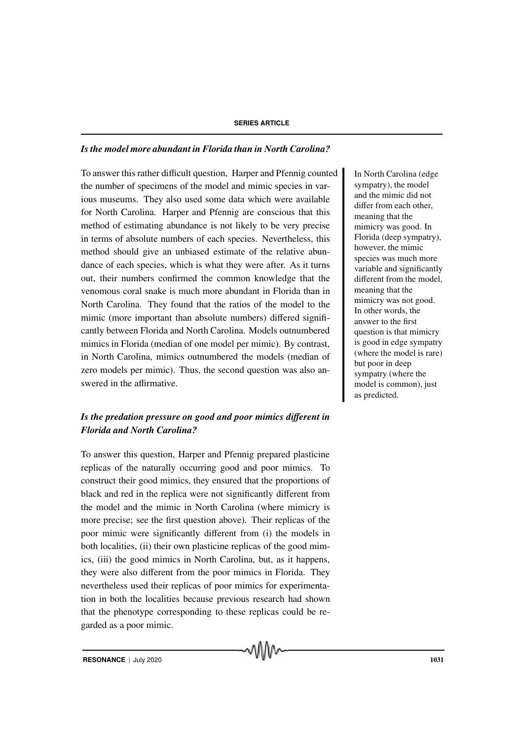#### *Is the model more abundant in Florida than in North Carolina?*

To answer this rather difficult question, Harper and Pfennig counted In North Carolina (edge the number of specimens of the model and mimic species in various museums. They also used some data which were available for North Carolina. Harper and Pfennig are conscious that this method of estimating abundance is not likely to be very precise in terms of absolute numbers of each species. Nevertheless, this method should give an unbiased estimate of the relative abundance of each species, which is what they were after. As it turns out, their numbers confirmed the common knowledge that the venomous coral snake is much more abundant in Florida than in North Carolina. They found that the ratios of the model to the mimic (more important than absolute numbers) differed significantly between Florida and North Carolina. Models outnumbered mimics in Florida (median of one model per mimic). By contrast, in North Carolina, mimics outnumbered the models (median of zero models per mimic). Thus, the second question was also answered in the affirmative.

## *Is the predation pressure on good and poor mimics di*ff*erent in Florida and North Carolina?*

To answer this question, Harper and Pfennig prepared plasticine replicas of the naturally occurring good and poor mimics. To construct their good mimics, they ensured that the proportions of black and red in the replica were not significantly different from the model and the mimic in North Carolina (where mimicry is more precise; see the first question above). Their replicas of the poor mimic were significantly different from (i) the models in both localities, (ii) their own plasticine replicas of the good mimics, (iii) the good mimics in North Carolina, but, as it happens, they were also different from the poor mimics in Florida. They nevertheless used their replicas of poor mimics for experimentation in both the localities because previous research had shown that the phenotype corresponding to these replicas could be regarded as a poor mimic.

sympatry), the model and the mimic did not differ from each other, meaning that the mimicry was good. In Florida (deep sympatry), however, the mimic species was much more variable and significantly different from the model, meaning that the mimicry was not good. In other words, the answer to the first question is that mimicry is good in edge sympatry (where the model is rare) but poor in deep sympatry (where the model is common), just as predicted.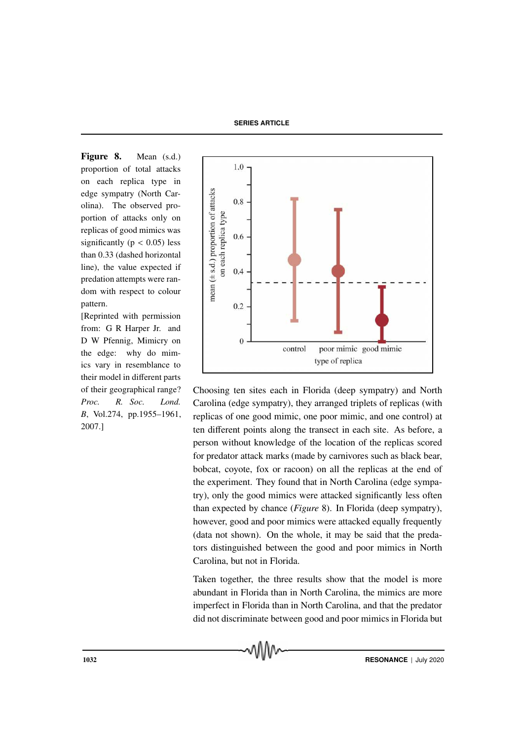Figure 8. Mean (s.d.) proportion of total attacks on each replica type in edge sympatry (North Carolina). The observed proportion of attacks only on replicas of good mimics was significantly ( $p < 0.05$ ) less than 0.33 (dashed horizontal line), the value expected if predation attempts were random with respect to colour pattern.

[Reprinted with permission from: G R Harper Jr. and D W Pfennig, Mimicry on the edge: why do mimics vary in resemblance to their model in different parts of their geographical range? *Proc. R. Soc. Lond. B*, Vol.274, pp.1955–1961, 2007.]



Choosing ten sites each in Florida (deep sympatry) and North Carolina (edge sympatry), they arranged triplets of replicas (with replicas of one good mimic, one poor mimic, and one control) at ten different points along the transect in each site. As before, a person without knowledge of the location of the replicas scored for predator attack marks (made by carnivores such as black bear, bobcat, coyote, fox or racoon) on all the replicas at the end of the experiment. They found that in North Carolina (edge sympatry), only the good mimics were attacked significantly less often than expected by chance (*Figure* 8). In Florida (deep sympatry), however, good and poor mimics were attacked equally frequently (data not shown). On the whole, it may be said that the predators distinguished between the good and poor mimics in North Carolina, but not in Florida.

Taken together, the three results show that the model is more abundant in Florida than in North Carolina, the mimics are more imperfect in Florida than in North Carolina, and that the predator did not discriminate between good and poor mimics in Florida but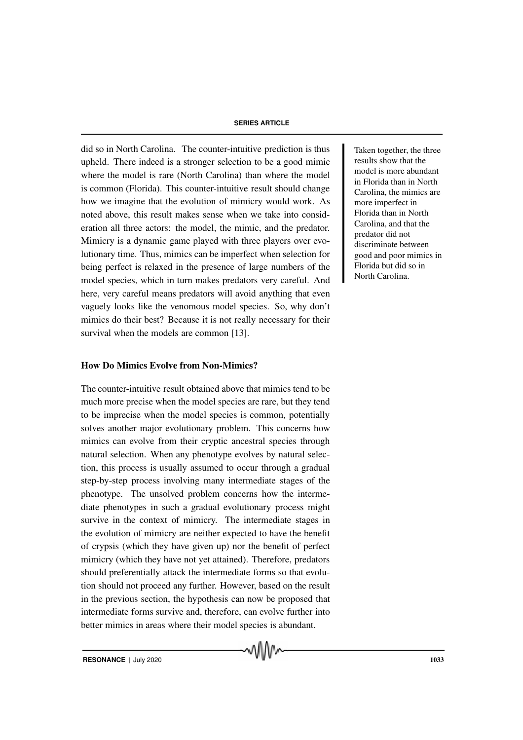did so in North Carolina. The counter-intuitive prediction is thus Taken together, the three upheld. There indeed is a stronger selection to be a good mimic where the model is rare (North Carolina) than where the model is common (Florida). This counter-intuitive result should change how we imagine that the evolution of mimicry would work. As noted above, this result makes sense when we take into consideration all three actors: the model, the mimic, and the predator. Mimicry is a dynamic game played with three players over evolutionary time. Thus, mimics can be imperfect when selection for being perfect is relaxed in the presence of large numbers of the model species, which in turn makes predators very careful. And here, very careful means predators will avoid anything that even vaguely looks like the venomous model species. So, why don't mimics do their best? Because it is not really necessary for their survival when the models are common [13].

#### How Do Mimics Evolve from Non-Mimics?

The counter-intuitive result obtained above that mimics tend to be much more precise when the model species are rare, but they tend to be imprecise when the model species is common, potentially solves another major evolutionary problem. This concerns how mimics can evolve from their cryptic ancestral species through natural selection. When any phenotype evolves by natural selection, this process is usually assumed to occur through a gradual step-by-step process involving many intermediate stages of the phenotype. The unsolved problem concerns how the intermediate phenotypes in such a gradual evolutionary process might survive in the context of mimicry. The intermediate stages in the evolution of mimicry are neither expected to have the benefit of crypsis (which they have given up) nor the benefit of perfect mimicry (which they have not yet attained). Therefore, predators should preferentially attack the intermediate forms so that evolution should not proceed any further. However, based on the result in the previous section, the hypothesis can now be proposed that intermediate forms survive and, therefore, can evolve further into better mimics in areas where their model species is abundant.

ለበበሌ

results show that the model is more abundant in Florida than in North Carolina, the mimics are more imperfect in Florida than in North Carolina, and that the predator did not discriminate between good and poor mimics in Florida but did so in North Carolina.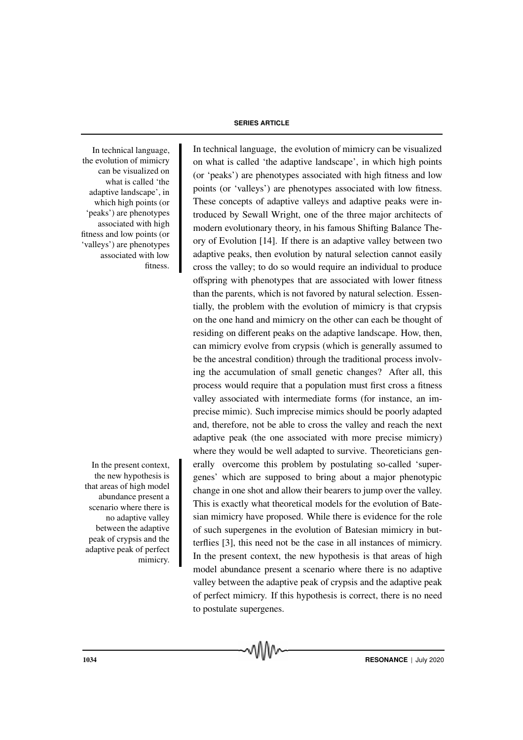the evolution of mimicry can be visualized on what is called 'the adaptive landscape', in which high points (or 'peaks') are phenotypes associated with high fitness and low points (or 'valleys') are phenotypes associated with low fitness.

In the present context, the new hypothesis is that areas of high model abundance present a scenario where there is no adaptive valley between the adaptive peak of crypsis and the adaptive peak of perfect mimicry.

#### **SERIES ARTICLE**

In technical language, In technical language, the evolution of mimicry can be visualized on what is called 'the adaptive landscape', in which high points (or 'peaks') are phenotypes associated with high fitness and low points (or 'valleys') are phenotypes associated with low fitness. These concepts of adaptive valleys and adaptive peaks were introduced by Sewall Wright, one of the three major architects of modern evolutionary theory, in his famous Shifting Balance Theory of Evolution [14]. If there is an adaptive valley between two adaptive peaks, then evolution by natural selection cannot easily cross the valley; to do so would require an individual to produce offspring with phenotypes that are associated with lower fitness than the parents, which is not favored by natural selection. Essentially, the problem with the evolution of mimicry is that crypsis on the one hand and mimicry on the other can each be thought of residing on different peaks on the adaptive landscape. How, then, can mimicry evolve from crypsis (which is generally assumed to be the ancestral condition) through the traditional process involving the accumulation of small genetic changes? After all, this process would require that a population must first cross a fitness valley associated with intermediate forms (for instance, an imprecise mimic). Such imprecise mimics should be poorly adapted and, therefore, not be able to cross the valley and reach the next adaptive peak (the one associated with more precise mimicry) where they would be well adapted to survive. Theoreticians generally overcome this problem by postulating so-called 'supergenes' which are supposed to bring about a major phenotypic change in one shot and allow their bearers to jump over the valley. This is exactly what theoretical models for the evolution of Batesian mimicry have proposed. While there is evidence for the role of such supergenes in the evolution of Batesian mimicry in butterflies [3], this need not be the case in all instances of mimicry. In the present context, the new hypothesis is that areas of high model abundance present a scenario where there is no adaptive valley between the adaptive peak of crypsis and the adaptive peak of perfect mimicry. If this hypothesis is correct, there is no need to postulate supergenes.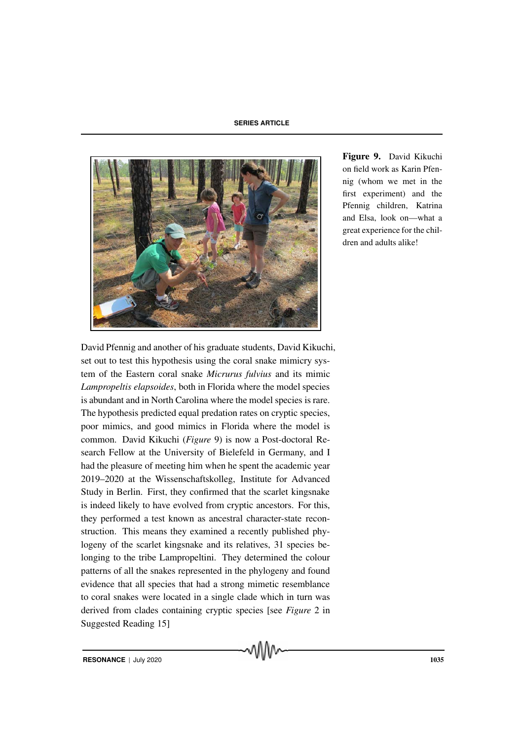

Figure 9. David Kikuchi on field work as Karin Pfennig (whom we met in the first experiment) and the Pfennig children, Katrina and Elsa, look on—what a great experience for the children and adults alike!

David Pfennig and another of his graduate students, David Kikuchi, set out to test this hypothesis using the coral snake mimicry system of the Eastern coral snake *Micrurus fulvius* and its mimic *Lampropeltis elapsoides*, both in Florida where the model species is abundant and in North Carolina where the model species is rare. The hypothesis predicted equal predation rates on cryptic species, poor mimics, and good mimics in Florida where the model is common. David Kikuchi (*Figure* 9) is now a Post-doctoral Research Fellow at the University of Bielefeld in Germany, and I had the pleasure of meeting him when he spent the academic year 2019–2020 at the Wissenschaftskolleg, Institute for Advanced Study in Berlin. First, they confirmed that the scarlet kingsnake is indeed likely to have evolved from cryptic ancestors. For this, they performed a test known as ancestral character-state reconstruction. This means they examined a recently published phylogeny of the scarlet kingsnake and its relatives, 31 species belonging to the tribe Lampropeltini. They determined the colour patterns of all the snakes represented in the phylogeny and found evidence that all species that had a strong mimetic resemblance to coral snakes were located in a single clade which in turn was derived from clades containing cryptic species [see *Figure* 2 in Suggested Reading 15]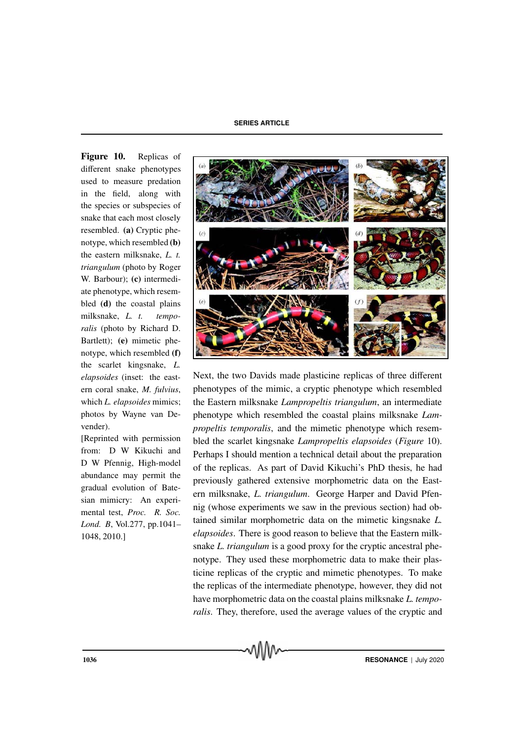Figure 10. Replicas of different snake phenotypes used to measure predation in the field, along with the species or subspecies of snake that each most closely resembled. (a) Cryptic phenotype, which resembled (b) the eastern milksnake, *L. t. triangulum* (photo by Roger W. Barbour); (c) intermediate phenotype, which resembled (d) the coastal plains milksnake, *L. t. temporalis* (photo by Richard D. Bartlett); (e) mimetic phenotype, which resembled (f) the scarlet kingsnake, *L. elapsoides* (inset: the eastern coral snake, *M. fulvius*, which *L. elapsoides* mimics; photos by Wayne van Devender).

[Reprinted with permission from: D W Kikuchi and D W Pfennig, High-model abundance may permit the gradual evolution of Batesian mimicry: An experimental test, *Proc. R. Soc. Lond. B*, Vol.277, pp.1041– 1048, 2010.]



Next, the two Davids made plasticine replicas of three different phenotypes of the mimic, a cryptic phenotype which resembled the Eastern milksnake *Lampropeltis triangulum*, an intermediate phenotype which resembled the coastal plains milksnake *Lampropeltis temporalis*, and the mimetic phenotype which resembled the scarlet kingsnake *Lampropeltis elapsoides* (*Figure* 10). Perhaps I should mention a technical detail about the preparation of the replicas. As part of David Kikuchi's PhD thesis, he had previously gathered extensive morphometric data on the Eastern milksnake, *L. triangulum*. George Harper and David Pfennig (whose experiments we saw in the previous section) had obtained similar morphometric data on the mimetic kingsnake *L. elapsoides*. There is good reason to believe that the Eastern milksnake *L. triangulum* is a good proxy for the cryptic ancestral phenotype. They used these morphometric data to make their plasticine replicas of the cryptic and mimetic phenotypes. To make the replicas of the intermediate phenotype, however, they did not have morphometric data on the coastal plains milksnake *L. temporalis*. They, therefore, used the average values of the cryptic and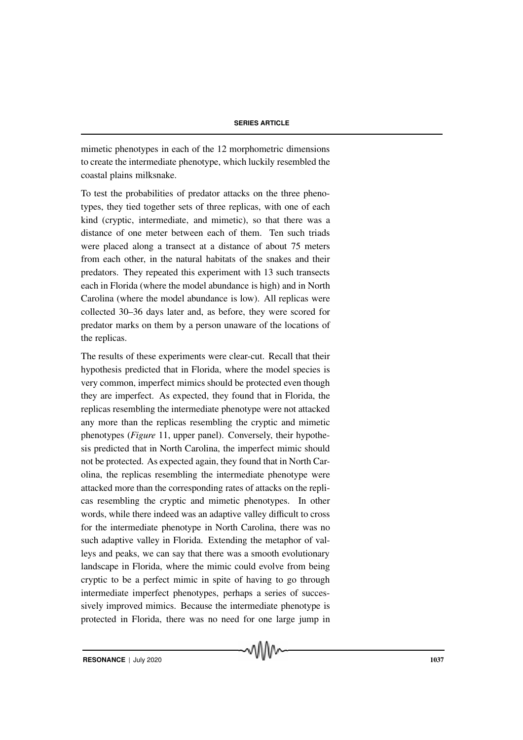mimetic phenotypes in each of the 12 morphometric dimensions to create the intermediate phenotype, which luckily resembled the coastal plains milksnake.

To test the probabilities of predator attacks on the three phenotypes, they tied together sets of three replicas, with one of each kind (cryptic, intermediate, and mimetic), so that there was a distance of one meter between each of them. Ten such triads were placed along a transect at a distance of about 75 meters from each other, in the natural habitats of the snakes and their predators. They repeated this experiment with 13 such transects each in Florida (where the model abundance is high) and in North Carolina (where the model abundance is low). All replicas were collected 30–36 days later and, as before, they were scored for predator marks on them by a person unaware of the locations of the replicas.

The results of these experiments were clear-cut. Recall that their hypothesis predicted that in Florida, where the model species is very common, imperfect mimics should be protected even though they are imperfect. As expected, they found that in Florida, the replicas resembling the intermediate phenotype were not attacked any more than the replicas resembling the cryptic and mimetic phenotypes (*Figure* 11, upper panel). Conversely, their hypothesis predicted that in North Carolina, the imperfect mimic should not be protected. As expected again, they found that in North Carolina, the replicas resembling the intermediate phenotype were attacked more than the corresponding rates of attacks on the replicas resembling the cryptic and mimetic phenotypes. In other words, while there indeed was an adaptive valley difficult to cross for the intermediate phenotype in North Carolina, there was no such adaptive valley in Florida. Extending the metaphor of valleys and peaks, we can say that there was a smooth evolutionary landscape in Florida, where the mimic could evolve from being cryptic to be a perfect mimic in spite of having to go through intermediate imperfect phenotypes, perhaps a series of successively improved mimics. Because the intermediate phenotype is protected in Florida, there was no need for one large jump in

√∖ใ∖∧∼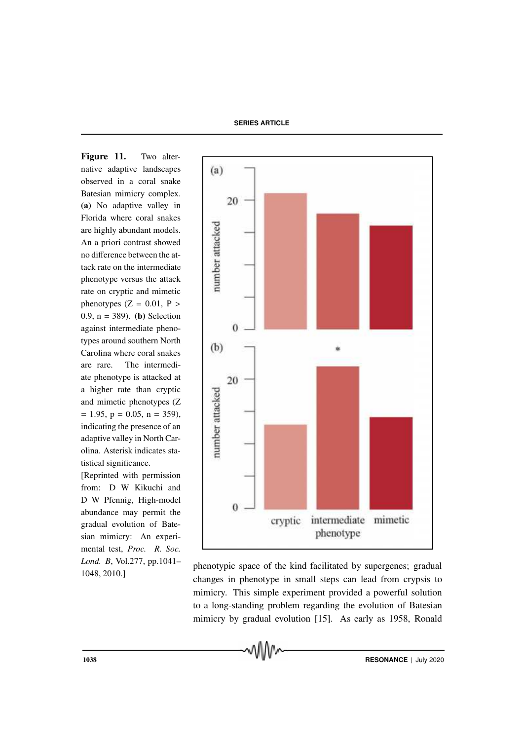Figure 11. Two alternative adaptive landscapes observed in a coral snake Batesian mimicry complex. (a) No adaptive valley in Florida where coral snakes are highly abundant models. An a priori contrast showed no difference between the attack rate on the intermediate phenotype versus the attack rate on cryptic and mimetic phenotypes  $(Z = 0.01, P >$ 0.9,  $n = 389$ . (**b**) Selection against intermediate phenotypes around southern North Carolina where coral snakes are rare. The intermediate phenotype is attacked at a higher rate than cryptic and mimetic phenotypes (Z  $= 1.95$ ,  $p = 0.05$ ,  $n = 359$ ), indicating the presence of an adaptive valley in North Carolina. Asterisk indicates statistical significance.

[Reprinted with permission from: D W Kikuchi and D W Pfennig, High-model abundance may permit the gradual evolution of Batesian mimicry: An experimental test, *Proc. R. Soc. Lond. B*, Vol.277, pp.1041– 1048, 2010.]



phenotypic space of the kind facilitated by supergenes; gradual changes in phenotype in small steps can lead from crypsis to mimicry. This simple experiment provided a powerful solution to a long-standing problem regarding the evolution of Batesian mimicry by gradual evolution [15]. As early as 1958, Ronald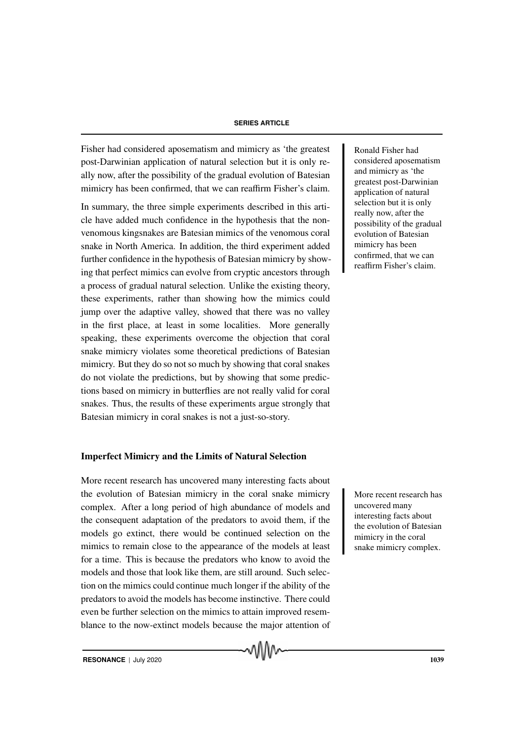Fisher had considered aposematism and mimicry as 'the greatest Ronald Fisher had post-Darwinian application of natural selection but it is only really now, after the possibility of the gradual evolution of Batesian mimicry has been confirmed, that we can reaffirm Fisher's claim.

In summary, the three simple experiments described in this article have added much confidence in the hypothesis that the nonvenomous kingsnakes are Batesian mimics of the venomous coral snake in North America. In addition, the third experiment added further confidence in the hypothesis of Batesian mimicry by showing that perfect mimics can evolve from cryptic ancestors through a process of gradual natural selection. Unlike the existing theory, these experiments, rather than showing how the mimics could jump over the adaptive valley, showed that there was no valley in the first place, at least in some localities. More generally speaking, these experiments overcome the objection that coral snake mimicry violates some theoretical predictions of Batesian mimicry. But they do so not so much by showing that coral snakes do not violate the predictions, but by showing that some predictions based on mimicry in butterflies are not really valid for coral snakes. Thus, the results of these experiments argue strongly that Batesian mimicry in coral snakes is not a just-so-story.

#### Imperfect Mimicry and the Limits of Natural Selection

More recent research has uncovered many interesting facts about the evolution of Batesian mimicry in the coral snake mimicry More recent research has complex. After a long period of high abundance of models and the consequent adaptation of the predators to avoid them, if the models go extinct, there would be continued selection on the mimics to remain close to the appearance of the models at least for a time. This is because the predators who know to avoid the models and those that look like them, are still around. Such selection on the mimics could continue much longer if the ability of the predators to avoid the models has become instinctive. There could even be further selection on the mimics to attain improved resemblance to the now-extinct models because the major attention of

MMW

considered aposematism and mimicry as 'the greatest post-Darwinian application of natural selection but it is only really now, after the possibility of the gradual evolution of Batesian mimicry has been confirmed, that we can reaffirm Fisher's claim.

uncovered many interesting facts about the evolution of Batesian mimicry in the coral snake mimicry complex.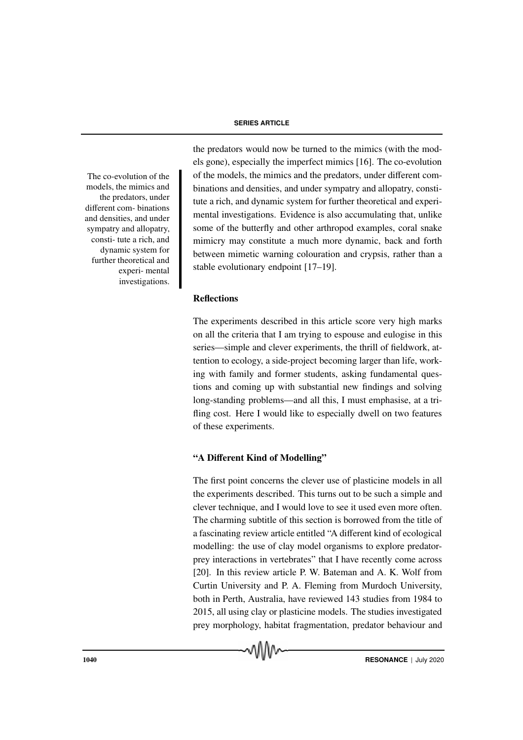The co-evolution of the models, the mimics and the predators, under different com- binations and densities, and under sympatry and allopatry, consti- tute a rich, and dynamic system for further theoretical and experi- mental investigations. the predators would now be turned to the mimics (with the models gone), especially the imperfect mimics [16]. The co-evolution of the models, the mimics and the predators, under different combinations and densities, and under sympatry and allopatry, constitute a rich, and dynamic system for further theoretical and experimental investigations. Evidence is also accumulating that, unlike some of the butterfly and other arthropod examples, coral snake mimicry may constitute a much more dynamic, back and forth between mimetic warning colouration and crypsis, rather than a stable evolutionary endpoint [17–19].

#### **Reflections**

The experiments described in this article score very high marks on all the criteria that I am trying to espouse and eulogise in this series—simple and clever experiments, the thrill of fieldwork, attention to ecology, a side-project becoming larger than life, working with family and former students, asking fundamental questions and coming up with substantial new findings and solving long-standing problems—and all this, I must emphasise, at a trifling cost. Here I would like to especially dwell on two features of these experiments.

### "A Different Kind of Modelling"

The first point concerns the clever use of plasticine models in all the experiments described. This turns out to be such a simple and clever technique, and I would love to see it used even more often. The charming subtitle of this section is borrowed from the title of a fascinating review article entitled "A different kind of ecological modelling: the use of clay model organisms to explore predatorprey interactions in vertebrates" that I have recently come across [20]. In this review article P. W. Bateman and A. K. Wolf from Curtin University and P. A. Fleming from Murdoch University, both in Perth, Australia, have reviewed 143 studies from 1984 to 2015, all using clay or plasticine models. The studies investigated prey morphology, habitat fragmentation, predator behaviour and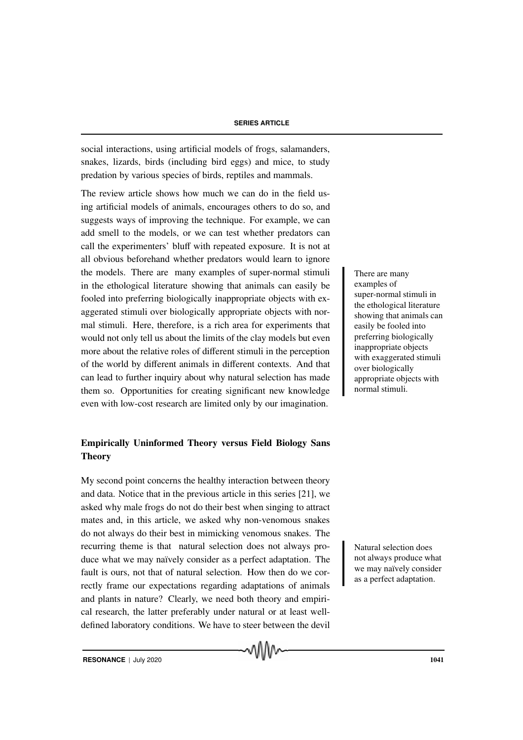social interactions, using artificial models of frogs, salamanders, snakes, lizards, birds (including bird eggs) and mice, to study predation by various species of birds, reptiles and mammals.

The review article shows how much we can do in the field using artificial models of animals, encourages others to do so, and suggests ways of improving the technique. For example, we can add smell to the models, or we can test whether predators can call the experimenters' bluff with repeated exposure. It is not at all obvious beforehand whether predators would learn to ignore the models. There are many examples of super-normal stimuli There are many in the ethological literature showing that animals can easily be fooled into preferring biologically inappropriate objects with exaggerated stimuli over biologically appropriate objects with normal stimuli. Here, therefore, is a rich area for experiments that would not only tell us about the limits of the clay models but even more about the relative roles of different stimuli in the perception of the world by different animals in different contexts. And that can lead to further inquiry about why natural selection has made them so. Opportunities for creating significant new knowledge even with low-cost research are limited only by our imagination.

## Empirically Uninformed Theory versus Field Biology Sans **Theory**

My second point concerns the healthy interaction between theory and data. Notice that in the previous article in this series [21], we asked why male frogs do not do their best when singing to attract mates and, in this article, we asked why non-venomous snakes do not always do their best in mimicking venomous snakes. The recurring theme is that natural selection does not always pro-<br>Natural selection does duce what we may naïvely consider as a perfect adaptation. The fault is ours, not that of natural selection. How then do we correctly frame our expectations regarding adaptations of animals and plants in nature? Clearly, we need both theory and empirical research, the latter preferably under natural or at least welldefined laboratory conditions. We have to steer between the devil

examples of super-normal stimuli in the ethological literature showing that animals can easily be fooled into preferring biologically inappropriate objects with exaggerated stimuli over biologically appropriate objects with normal stimuli.

not always produce what we may naïvely consider as a perfect adaptation.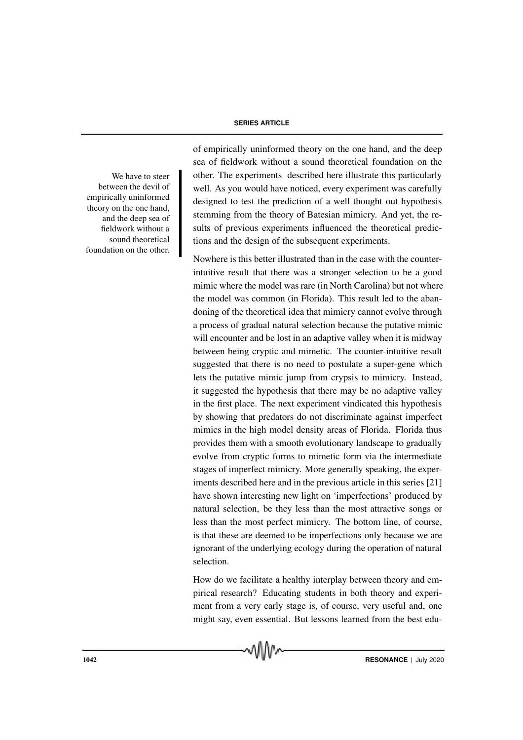between the devil of empirically uninformed theory on the one hand, and the deep sea of fieldwork without a sound theoretical foundation on the other.

of empirically uninformed theory on the one hand, and the deep sea of fieldwork without a sound theoretical foundation on the We have to steer other. The experiments described here illustrate this particularly well. As you would have noticed, every experiment was carefully designed to test the prediction of a well thought out hypothesis stemming from the theory of Batesian mimicry. And yet, the results of previous experiments influenced the theoretical predictions and the design of the subsequent experiments.

> Nowhere is this better illustrated than in the case with the counterintuitive result that there was a stronger selection to be a good mimic where the model was rare (in North Carolina) but not where the model was common (in Florida). This result led to the abandoning of the theoretical idea that mimicry cannot evolve through a process of gradual natural selection because the putative mimic will encounter and be lost in an adaptive valley when it is midway between being cryptic and mimetic. The counter-intuitive result suggested that there is no need to postulate a super-gene which lets the putative mimic jump from crypsis to mimicry. Instead, it suggested the hypothesis that there may be no adaptive valley in the first place. The next experiment vindicated this hypothesis by showing that predators do not discriminate against imperfect mimics in the high model density areas of Florida. Florida thus provides them with a smooth evolutionary landscape to gradually evolve from cryptic forms to mimetic form via the intermediate stages of imperfect mimicry. More generally speaking, the experiments described here and in the previous article in this series [21] have shown interesting new light on 'imperfections' produced by natural selection, be they less than the most attractive songs or less than the most perfect mimicry. The bottom line, of course, is that these are deemed to be imperfections only because we are ignorant of the underlying ecology during the operation of natural selection.

> How do we facilitate a healthy interplay between theory and empirical research? Educating students in both theory and experiment from a very early stage is, of course, very useful and, one might say, even essential. But lessons learned from the best edu-

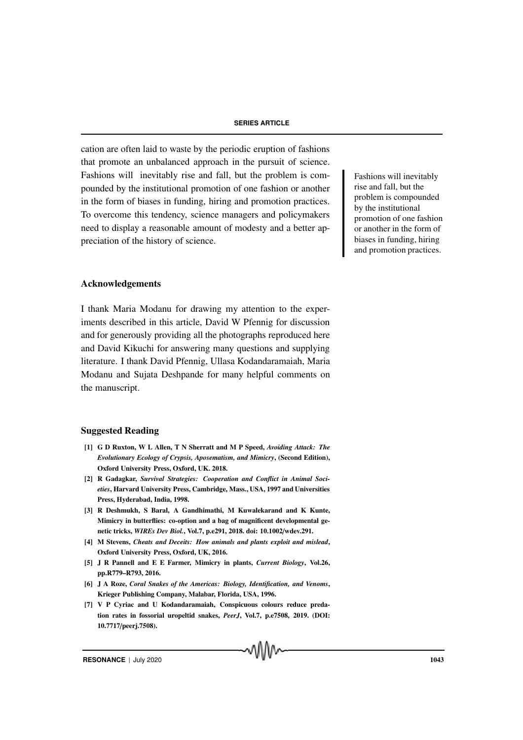cation are often laid to waste by the periodic eruption of fashions that promote an unbalanced approach in the pursuit of science. Fashions will inevitably rise and fall, but the problem is com-<br>Fashions will inevitably pounded by the institutional promotion of one fashion or another in the form of biases in funding, hiring and promotion practices. To overcome this tendency, science managers and policymakers need to display a reasonable amount of modesty and a better appreciation of the history of science.

#### Acknowledgements

I thank Maria Modanu for drawing my attention to the experiments described in this article, David W Pfennig for discussion and for generously providing all the photographs reproduced here and David Kikuchi for answering many questions and supplying literature. I thank David Pfennig, Ullasa Kodandaramaiah, Maria Modanu and Sujata Deshpande for many helpful comments on the manuscript.

#### Suggested Reading

- [1] G D Ruxton, W L Allen, T N Sherratt and M P Speed, *Avoiding Attack: The Evolutionary Ecology of Crypsis, Aposematism, and Mimicry*, (Second Edition), Oxford University Press, Oxford, UK. 2018.
- [2] R Gadagkar, *Survival Strategies: Cooperation and Conflict in Animal Societies*, Harvard University Press, Cambridge, Mass., USA, 1997 and Universities Press, Hyderabad, India, 1998.
- [3] R Deshmukh, S Baral, A Gandhimathi, M Kuwalekarand and K Kunte, Mimicry in butterflies: co-option and a bag of magnificent developmental genetic tricks, *WIREs Dev Biol.*, Vol.7, p.e291, 2018. doi: 10.1002/wdev.291.
- [4] M Stevens, *Cheats and Deceits: How animals and plants exploit and mislead*, Oxford University Press, Oxford, UK, 2016.
- [5] J R Pannell and E E Farmer, Mimicry in plants, *Current Biology*, Vol.26, pp.R779–R793, 2016.
- [6] J A Roze, *Coral Snakes of the Americas: Biology, Identification, and Venoms*, Krieger Publishing Company, Malabar, Florida, USA, 1996.
- [7] V P Cyriac and U Kodandaramaiah, Conspicuous colours reduce predation rates in fossorial uropeltid snakes, *PeerJ*, Vol.7, p.e7508, 2019. (DOI: 10.7717/peerj.7508).

rise and fall, but the problem is compounded by the institutional promotion of one fashion or another in the form of biases in funding, hiring and promotion practices.